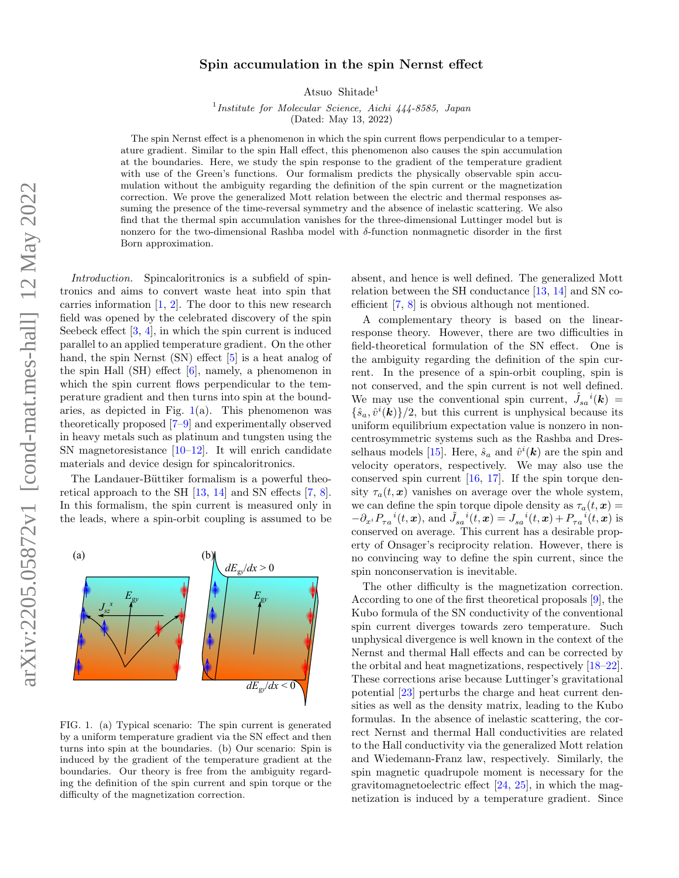## $arXiv:2205.05872v1$  [cond-mat.mes-hall] 12 May 2022 arXiv:2205.05872v1 [cond-mat.mes-hall] 12 May 2022

## Spin accumulation in the spin Nernst effect

Atsuo Shitade<sup>1</sup>

<sup>1</sup>Institute for Molecular Science, Aichi 444-8585, Japan (Dated: May 13, 2022)

The spin Nernst effect is a phenomenon in which the spin current flows perpendicular to a temperature gradient. Similar to the spin Hall effect, this phenomenon also causes the spin accumulation at the boundaries. Here, we study the spin response to the gradient of the temperature gradient with use of the Green's functions. Our formalism predicts the physically observable spin accumulation without the ambiguity regarding the definition of the spin current or the magnetization correction. We prove the generalized Mott relation between the electric and thermal responses assuming the presence of the time-reversal symmetry and the absence of inelastic scattering. We also find that the thermal spin accumulation vanishes for the three-dimensional Luttinger model but is nonzero for the two-dimensional Rashba model with δ-function nonmagnetic disorder in the first Born approximation.

Introduction. Spincaloritronics is a subfield of spintronics and aims to convert waste heat into spin that carries information  $[1, 2]$  $[1, 2]$ . The door to this new research field was opened by the celebrated discovery of the spin Seebeck effect [\[3,](#page-4-2) [4\]](#page-4-3), in which the spin current is induced parallel to an applied temperature gradient. On the other hand, the spin Nernst (SN) effect [\[5\]](#page-4-4) is a heat analog of the spin Hall (SH) effect [\[6\]](#page-4-5), namely, a phenomenon in which the spin current flows perpendicular to the temperature gradient and then turns into spin at the boundaries, as depicted in Fig.  $1(a)$  $1(a)$ . This phenomenon was theoretically proposed [\[7](#page-4-6)[–9\]](#page-4-7) and experimentally observed in heavy metals such as platinum and tungsten using the SN magnetoresistance  $[10-12]$ . It will enrich candidate materials and device design for spincaloritronics.

The Landauer-Büttiker formalism is a powerful theoretical approach to the SH [\[13,](#page-4-10) [14\]](#page-5-0) and SN effects [\[7,](#page-4-6) [8\]](#page-4-11). In this formalism, the spin current is measured only in the leads, where a spin-orbit coupling is assumed to be

 $E_{gy}$  **F**  $E_{gy}$ 

(a)  $(b)$ 

*Jsz x*

<span id="page-0-0"></span>FIG. 1. (a) Typical scenario: The spin current is generated by a uniform temperature gradient via the SN effect and then turns into spin at the boundaries. (b) Our scenario: Spin is induced by the gradient of the temperature gradient at the boundaries. Our theory is free from the ambiguity regarding the definition of the spin current and spin torque or the difficulty of the magnetization correction.

 $dE_{\rm g}$ */dx* < 0

 $dE_{\text{av}}/dx > 0$ 

absent, and hence is well defined. The generalized Mott relation between the SH conductance [\[13,](#page-4-10) [14\]](#page-5-0) and SN coefficient [\[7,](#page-4-6) [8\]](#page-4-11) is obvious although not mentioned.

A complementary theory is based on the linearresponse theory. However, there are two difficulties in field-theoretical formulation of the SN effect. One is the ambiguity regarding the definition of the spin current. In the presence of a spin-orbit coupling, spin is not conserved, and the spin current is not well defined. We may use the conventional spin current,  $\hat{J}_{sa}^i(\mathbf{k}) =$  $\{\hat{s}_a, \hat{v}^i(\mathbf{k})\}/2$ , but this current is unphysical because its uniform equilibrium expectation value is nonzero in noncentrosymmetric systems such as the Rashba and Dres-selhaus models [\[15\]](#page-5-1). Here,  $\hat{s}_a$  and  $\hat{v}^i(\mathbf{k})$  are the spin and velocity operators, respectively. We may also use the conserved spin current [\[16,](#page-5-2) [17\]](#page-5-3). If the spin torque density  $\tau_a(t, x)$  vanishes on average over the whole system, we can define the spin torque dipole density as  $\tau_a(t, x) =$  $-\partial_{x_i} P_{\tau a}^{\ \ i}(t, x),$  and  $\tilde{J}_{sa}^{\ \ i}(t, x) = J_{sa}^{\ \ i}(t, x) + P_{\tau a}^{\ \ i}(t, x)$  is conserved on average. This current has a desirable property of Onsager's reciprocity relation. However, there is no convincing way to define the spin current, since the spin nonconservation is inevitable.

The other difficulty is the magnetization correction. According to one of the first theoretical proposals [\[9\]](#page-4-7), the Kubo formula of the SN conductivity of the conventional spin current diverges towards zero temperature. Such unphysical divergence is well known in the context of the Nernst and thermal Hall effects and can be corrected by the orbital and heat magnetizations, respectively [\[18–](#page-5-4)[22\]](#page-5-5). These corrections arise because Luttinger's gravitational potential [\[23\]](#page-5-6) perturbs the charge and heat current densities as well as the density matrix, leading to the Kubo formulas. In the absence of inelastic scattering, the correct Nernst and thermal Hall conductivities are related to the Hall conductivity via the generalized Mott relation and Wiedemann-Franz law, respectively. Similarly, the spin magnetic quadrupole moment is necessary for the gravitomagnetoelectric effect [\[24,](#page-5-7) [25\]](#page-5-8), in which the magnetization is induced by a temperature gradient. Since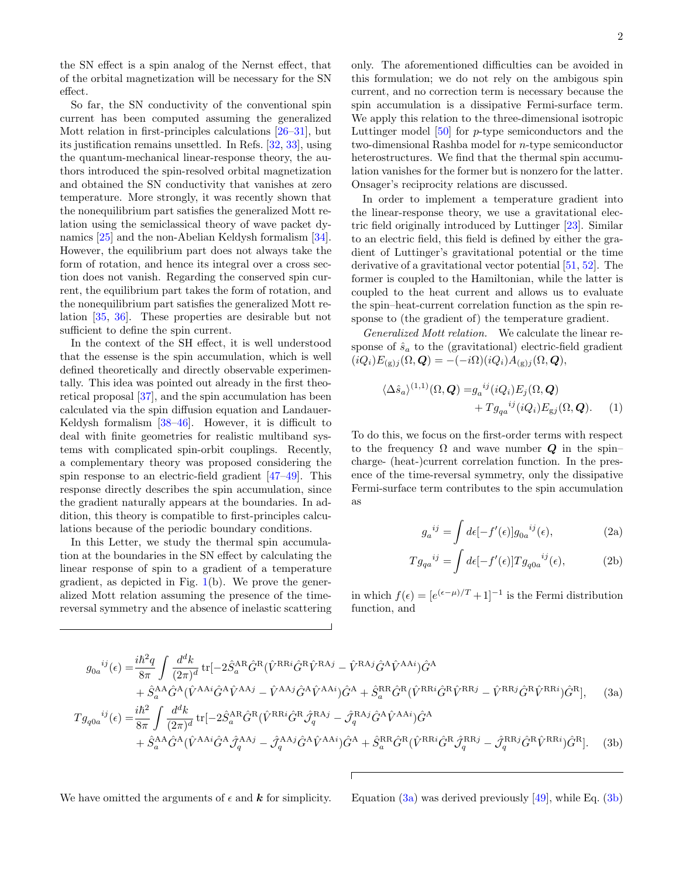the SN effect is a spin analog of the Nernst effect, that of the orbital magnetization will be necessary for the SN effect.

So far, the SN conductivity of the conventional spin current has been computed assuming the generalized Mott relation in first-principles calculations  $[26-31]$  $[26-31]$ , but its justification remains unsettled. In Refs. [\[32,](#page-5-11) [33\]](#page-5-12), using the quantum-mechanical linear-response theory, the authors introduced the spin-resolved orbital magnetization and obtained the SN conductivity that vanishes at zero temperature. More strongly, it was recently shown that the nonequilibrium part satisfies the generalized Mott relation using the semiclassical theory of wave packet dynamics [\[25\]](#page-5-8) and the non-Abelian Keldysh formalism [\[34\]](#page-5-13). However, the equilibrium part does not always take the form of rotation, and hence its integral over a cross section does not vanish. Regarding the conserved spin current, the equilibrium part takes the form of rotation, and the nonequilibrium part satisfies the generalized Mott relation [\[35,](#page-5-14) [36\]](#page-5-15). These properties are desirable but not sufficient to define the spin current.

In the context of the SH effect, it is well understood that the essense is the spin accumulation, which is well defined theoretically and directly observable experimentally. This idea was pointed out already in the first theoretical proposal [\[37\]](#page-5-16), and the spin accumulation has been calculated via the spin diffusion equation and Landauer-Keldysh formalism [\[38–](#page-5-17)[46\]](#page-5-18). However, it is difficult to deal with finite geometries for realistic multiband systems with complicated spin-orbit couplings. Recently, a complementary theory was proposed considering the spin response to an electric-field gradient [\[47–](#page-5-19)[49\]](#page-5-20). This response directly describes the spin accumulation, since the gradient naturally appears at the boundaries. In addition, this theory is compatible to first-principles calculations because of the periodic boundary conditions.

In this Letter, we study the thermal spin accumulation at the boundaries in the SN effect by calculating the linear response of spin to a gradient of a temperature gradient, as depicted in Fig.  $1(b)$  $1(b)$ . We prove the generalized Mott relation assuming the presence of the timereversal symmetry and the absence of inelastic scattering only. The aforementioned difficulties can be avoided in this formulation; we do not rely on the ambigous spin current, and no correction term is necessary because the spin accumulation is a dissipative Fermi-surface term. We apply this relation to the three-dimensional isotropic Luttinger model [\[50\]](#page-5-21) for p-type semiconductors and the two-dimensional Rashba model for n-type semiconductor heterostructures. We find that the thermal spin accumulation vanishes for the former but is nonzero for the latter. Onsager's reciprocity relations are discussed.

In order to implement a temperature gradient into the linear-response theory, we use a gravitational electric field originally introduced by Luttinger [\[23\]](#page-5-6). Similar to an electric field, this field is defined by either the gradient of Luttinger's gravitational potential or the time derivative of a gravitational vector potential [\[51,](#page-5-22) [52\]](#page-5-23). The former is coupled to the Hamiltonian, while the latter is coupled to the heat current and allows us to evaluate the spin–heat-current correlation function as the spin response to (the gradient of) the temperature gradient.

Generalized Mott relation. We calculate the linear response of  $\hat{s}_a$  to the (gravitational) electric-field gradient  $(iQ_i)E_{(g)i}(\Omega,\boldsymbol{Q}) = -(-i\Omega)(iQ_i)A_{(g)i}(\Omega,\boldsymbol{Q}),$ 

$$
\langle \Delta \hat{s}_a \rangle^{(1,1)}(\Omega, \mathbf{Q}) = g_a^{ij}(iQ_i) E_j(\Omega, \mathbf{Q}) + T g_{qa}^{ij}(iQ_i) E_{gj}(\Omega, \mathbf{Q}).
$$
 (1)

To do this, we focus on the first-order terms with respect to the frequency  $\Omega$  and wave number  $Q$  in the spin– charge- (heat-)current correlation function. In the presence of the time-reversal symmetry, only the dissipative Fermi-surface term contributes to the spin accumulation as

<span id="page-1-2"></span>
$$
g_a^{ij} = \int d\epsilon [-f'(\epsilon)] g_{0a}^{ij}(\epsilon), \qquad (2a)
$$

<span id="page-1-0"></span>
$$
Tg_{qa}^{ij} = \int d\epsilon [-f'(\epsilon)] Tg_{q0a}^{ij}(\epsilon), \tag{2b}
$$

in which  $f(\epsilon) = [e^{(\epsilon - \mu)/T} + 1]^{-1}$  is the Fermi distribution function, and

$$
g_{0a}^{ij}(\epsilon) = \frac{i\hbar^2 q}{8\pi} \int \frac{d^d k}{(2\pi)^d} \text{tr}[-2\hat{S}_a^{\text{AR}}\hat{G}^{\text{R}}(\hat{V}^{\text{RR}i}\hat{G}^{\text{R}}\hat{V}^{\text{RA}j} - \hat{V}^{\text{RA}j}\hat{G}^{\text{A}}\hat{V}^{\text{AA}i})\hat{G}^{\text{A}} + \hat{S}_a^{\text{AA}}\hat{G}^{\text{A}}(\hat{V}^{\text{AA}i}\hat{G}^{\text{A}}\hat{V}^{\text{AA}j} - \hat{V}^{\text{AA}j}\hat{G}^{\text{A}}\hat{V}^{\text{AA}i})\hat{G}^{\text{A}} + \hat{S}_a^{\text{RR}}\hat{G}^{\text{R}}(\hat{V}^{\text{RR}i}\hat{G}^{\text{R}}\hat{V}^{\text{RR}j} - \hat{V}^{\text{RR}j}\hat{G}^{\text{R}}\hat{V}^{\text{RR}i})\hat{G}^{\text{R}}],
$$
 (3a)  

$$
Tg_{q0a}^{ij}(\epsilon) = \frac{i\hbar^2}{8\pi} \int \frac{d^d k}{(2\pi)^d} \text{tr}[-2\hat{S}_a^{\text{AR}}\hat{G}^{\text{R}}(\hat{V}^{\text{RR}i}\hat{G}^{\text{R}}\hat{\mathcal{J}}_q^{\text{RA}j} - \hat{\mathcal{J}}_q^{\text{RA}j}\hat{G}^{\text{A}}\hat{V}^{\text{AA}i})\hat{G}^{\text{A}} + \hat{S}_a^{\text{AA}}\hat{G}^{\text{A}}(\hat{V}^{\text{AA}i}\hat{G}^{\text{A}}\hat{\mathcal{J}}_q^{\text{AA}j} - \hat{\mathcal{J}}_q^{\text{AA}j}\hat{G}^{\text{A}}\hat{V}^{\text{AA}i})\hat{G}^{\text{A}} + \hat{S}_a^{\text{RR}}\hat{G}^{\text{R}}(\hat{V}^{\text{RR}i}\hat{G}^{\text{R}}\hat{\mathcal{J}}_q^{\text{RR}j} - \hat{\mathcal{J}}_q^{\text{RR
$$

We have omitted the arguments of  $\epsilon$  and  $\bf{k}$  for simplicity. Equation [\(3a\)](#page-1-0) was derived previously [\[49\]](#page-5-20), while Eq. [\(3b\)](#page-1-1)

<span id="page-1-1"></span>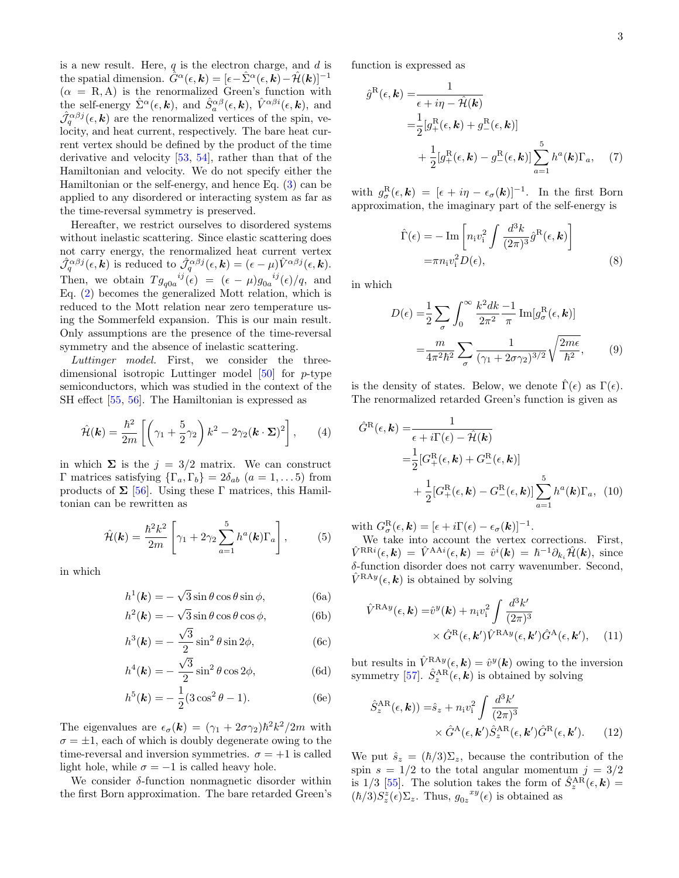is a new result. Here,  $q$  is the electron charge, and  $d$  is the spatial dimension.  $\hat{G}^{\alpha}(\epsilon, \mathbf{k}) = [\epsilon - \hat{\Sigma}^{\alpha}(\epsilon, \mathbf{k}) - \hat{\mathcal{H}}(\mathbf{k})]^{-1}$  $(\alpha = R, A)$  is the renormalized Green's function with the self-energy  $\hat{\Sigma}^{\alpha}(\epsilon, k)$ , and  $\hat{S}_{a}^{\alpha\beta}(\epsilon, k)$ ,  $\hat{V}^{\alpha\beta i}(\epsilon, k)$ , and  $\hat{\mathcal{J}}_q^{\alpha\beta j}(\epsilon, \mathbf{k})$  are the renormalized vertices of the spin, velocity, and heat current, respectively. The bare heat current vertex should be defined by the product of the time derivative and velocity [\[53,](#page-5-24) [54\]](#page-5-25), rather than that of the Hamiltonian and velocity. We do not specify either the Hamiltonian or the self-energy, and hence Eq. [\(3\)](#page-1-1) can be applied to any disordered or interacting system as far as the time-reversal symmetry is preserved.

Hereafter, we restrict ourselves to disordered systems without inelastic scattering. Since elastic scattering does not carry energy, the renormalized heat current vertex  $\hat{\mathcal{J}}_q^{\alpha\beta j}(\epsilon, \mathbf{k})$  is reduced to  $\hat{\mathcal{J}}_q^{\alpha\beta j}(\epsilon, \mathbf{k}) = (\epsilon - \mu) \hat{V}^{\alpha\beta j}(\epsilon, \mathbf{k}).$ Then, we obtain  $Tg_{q0a}^{ij}(\epsilon) = (\epsilon - \mu)g_{0a}^{ij}(\epsilon)/q$ , and Eq. [\(2\)](#page-1-2) becomes the generalized Mott relation, which is reduced to the Mott relation near zero temperature using the Sommerfeld expansion. This is our main result. Only assumptions are the presence of the time-reversal symmetry and the absence of inelastic scattering.

Luttinger model. First, we consider the threedimensional isotropic Luttinger model [\[50\]](#page-5-21) for p-type semiconductors, which was studied in the context of the SH effect [\[55,](#page-5-26) [56\]](#page-5-27). The Hamiltonian is expressed as

$$
\hat{\mathcal{H}}(\mathbf{k}) = \frac{\hbar^2}{2m} \left[ \left( \gamma_1 + \frac{5}{2} \gamma_2 \right) k^2 - 2 \gamma_2 (\mathbf{k} \cdot \mathbf{\Sigma})^2 \right], \qquad (4)
$$

in which  $\Sigma$  is the  $j = 3/2$  matrix. We can construct Γ matrices satisfying  ${\lbrace \Gamma_a, \Gamma_b \rbrace} = 2\delta_{ab}$   $(a = 1, \ldots 5)$  from products of  $\Sigma$  [\[56\]](#page-5-27). Using these Γ matrices, this Hamiltonian can be rewritten as

$$
\hat{\mathcal{H}}(\mathbf{k}) = \frac{\hbar^2 k^2}{2m} \left[ \gamma_1 + 2\gamma_2 \sum_{a=1}^5 h^a(\mathbf{k}) \Gamma_a \right],\tag{5}
$$

in which

$$
h^{1}(\mathbf{k}) = -\sqrt{3}\sin\theta\cos\theta\sin\phi, \qquad (6a)
$$

$$
h^2(\mathbf{k}) = -\sqrt{3}\sin\theta\cos\theta\cos\phi, \tag{6b}
$$

$$
h^3(\mathbf{k}) = -\frac{\sqrt{3}}{2}\sin^2\theta\sin 2\phi,\tag{6c}
$$

$$
h^4(\mathbf{k}) = -\frac{\sqrt{3}}{2}\sin^2\theta\cos 2\phi,\tag{6d}
$$

$$
h^5(\mathbf{k}) = -\frac{1}{2}(3\cos^2\theta - 1). \tag{6e}
$$

The eigenvalues are  $\epsilon_{\sigma}(\mathbf{k}) = (\gamma_1 + 2\sigma \gamma_2) \hbar^2 k^2 / 2m$  with  $\sigma = \pm 1$ , each of which is doubly degenerate owing to the time-reversal and inversion symmetries.  $\sigma = +1$  is called light hole, while  $\sigma = -1$  is called heavy hole.

We consider  $\delta$ -function nonmagnetic disorder within the first Born approximation. The bare retarded Green's function is expressed as

$$
\hat{g}^{\text{R}}(\epsilon, \mathbf{k}) = \frac{1}{\epsilon + i\eta - \hat{\mathcal{H}}(\mathbf{k})}
$$
  
\n
$$
= \frac{1}{2} [g_+^{\text{R}}(\epsilon, \mathbf{k}) + g_-^{\text{R}}(\epsilon, \mathbf{k})]
$$
  
\n
$$
+ \frac{1}{2} [g_+^{\text{R}}(\epsilon, \mathbf{k}) - g_-^{\text{R}}(\epsilon, \mathbf{k})] \sum_{a=1}^{5} h^a(\mathbf{k}) \Gamma_a, \quad (7)
$$

with  $g_{\sigma}^{\rm R}(\epsilon, \mathbf{k}) = [\epsilon + i\eta - \epsilon_{\sigma}(\mathbf{k})]^{-1}$ . In the first Born approximation, the imaginary part of the self-energy is

$$
\hat{\Gamma}(\epsilon) = -\operatorname{Im}\left[n_{i}v_{i}^{2} \int \frac{d^{3}k}{(2\pi)^{3}} \hat{g}^{R}(\epsilon, \mathbf{k})\right]
$$

$$
= \pi n_{i}v_{i}^{2} D(\epsilon),
$$
\n(8)

in which

<span id="page-2-0"></span>
$$
D(\epsilon) = \frac{1}{2} \sum_{\sigma} \int_0^{\infty} \frac{k^2 dk}{2\pi^2} \frac{-1}{\pi} \operatorname{Im}[g_{\sigma}^{\mathrm{R}}(\epsilon, \mathbf{k})]
$$

$$
= \frac{m}{4\pi^2 \hbar^2} \sum_{\sigma} \frac{1}{(\gamma_1 + 2\sigma \gamma_2)^{3/2}} \sqrt{\frac{2m\epsilon}{\hbar^2}}, \qquad (9)
$$

is the density of states. Below, we denote  $\hat{\Gamma}(\epsilon)$  as  $\Gamma(\epsilon)$ . The renormalized retarded Green's function is given as

$$
\hat{G}^{\text{R}}(\epsilon, \mathbf{k}) = \frac{1}{\epsilon + i\Gamma(\epsilon) - \hat{\mathcal{H}}(\mathbf{k})}
$$
  
=\frac{1}{2} [G^{\text{R}}\_{+}(\epsilon, \mathbf{k}) + G^{\text{R}}\_{-}(\epsilon, \mathbf{k})]  
+ \frac{1}{2} [G^{\text{R}}\_{+}(\epsilon, \mathbf{k}) - G^{\text{R}}\_{-}(\epsilon, \mathbf{k})] \sum\_{a=1}^{5} h^{a}(\mathbf{k}) \Gamma\_{a}, (10)

with  $G_{\sigma}^{\rm R}(\epsilon, \mathbf{k}) = [\epsilon + i \Gamma(\epsilon) - \epsilon_{\sigma}(\mathbf{k})]^{-1}$ .

We take into account the vertex corrections. First,  $\hat{V}^{\mathrm{RR}i}(\epsilon, \bm{k})\,=\,\hat{V}^{\mathrm{AA}i}(\epsilon, \bm{k})\,=\,\hat{v}^i(\bm{k})\,=\,\hbar^{-1}\partial_{k_i}\hat{\mathcal{H}}(\bm{k}),\,\,\mathrm{since}$ δ-function disorder does not carry wavenumber. Second,  $\hat{V}^{\text{RA}y}(\epsilon, \mathbf{k})$  is obtained by solving

$$
\hat{V}^{\text{RA}y}(\epsilon, \mathbf{k}) = \hat{v}^y(\mathbf{k}) + n_i v_i^2 \int \frac{d^3 k'}{(2\pi)^3} \times \hat{G}^{\text{R}}(\epsilon, \mathbf{k'}) \hat{V}^{\text{RA}y}(\epsilon, \mathbf{k'}) \hat{G}^{\text{A}}(\epsilon, \mathbf{k'}), \quad (11)
$$

but results in  $\hat{V}^{RAy}(\epsilon, k) = \hat{v}^{y}(k)$  owing to the inversion symmetry [\[57\]](#page-5-28).  $\hat{S}_z^{\text{AR}}(\epsilon, \mathbf{k})$  is obtained by solving

$$
\hat{S}_z^{\text{AR}}(\epsilon, \mathbf{k})) = \hat{s}_z + n_i v_i^2 \int \frac{d^3 k'}{(2\pi)^3} \times \hat{G}^{\text{A}}(\epsilon, \mathbf{k}') \hat{S}_z^{\text{AR}}(\epsilon, \mathbf{k}') \hat{G}^{\text{R}}(\epsilon, \mathbf{k}'). \tag{12}
$$

We put  $\hat{s}_z = (\hbar/3)\Sigma_z$ , because the contribution of the spin  $s = 1/2$  to the total angular momentum  $j = 3/2$ is 1/3 [\[55\]](#page-5-26). The solution takes the form of  $\hat{S}_z^{\text{AR}}(\epsilon, \mathbf{k})$  =  $(\hbar/3)S_z^z(\epsilon)\Sigma_z$ . Thus,  $g_{0z}^{xy}(\epsilon)$  is obtained as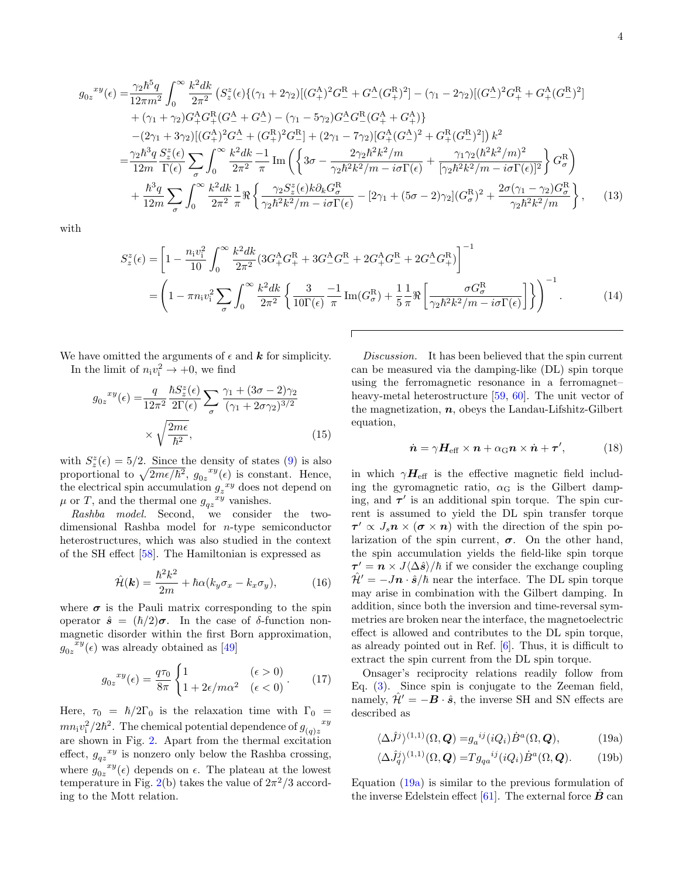$$
g_{0z}^{xy}(\epsilon) = \frac{\gamma_2 \hbar^5 q}{12\pi m^2} \int_0^\infty \frac{k^2 dk}{2\pi^2} \left( S_z^z(\epsilon) \{ (\gamma_1 + 2\gamma_2) [ (G_+^{\mathcal{A}})^2 G_-^{\mathcal{R}} + G_-^{\mathcal{A}} (G_+^{\mathcal{R}})^2 ] - (\gamma_1 - 2\gamma_2) [ (G_-^{\mathcal{A}})^2 G_+^{\mathcal{R}} + G_+^{\mathcal{A}} (G_-^{\mathcal{R}})^2 ] \right) + (\gamma_1 + \gamma_2) G_+^{\mathcal{A}} G_+^{\mathcal{R}} (G_-^{\mathcal{A}} + G_-^{\mathcal{A}}) - (\gamma_1 - 5\gamma_2) G_-^{\mathcal{A}} G_-^{\mathcal{R}} (G_+^{\mathcal{A}} + G_+^{\mathcal{A}}) \} - (2\gamma_1 + 3\gamma_2) [ (G_+^{\mathcal{A}})^2 G_-^{\mathcal{A}} + (G_+^{\mathcal{R}})^2 G_-^{\mathcal{R}}] + (2\gamma_1 - 7\gamma_2) [ G_+^{\mathcal{A}} (G_-^{\mathcal{A}})^2 + G_+^{\mathcal{R}} (G_-^{\mathcal{R}})^2 ] \right) k^2 = \frac{\gamma_2 \hbar^3 q}{12m} \frac{S_z^z(\epsilon)}{\Gamma(\epsilon)} \sum_{\sigma} \int_0^\infty \frac{k^2 dk}{2\pi^2} \frac{-1}{\pi} \text{Im} \left( \left\{ 3\sigma - \frac{2\gamma_2 \hbar^2 k^2 / m}{\gamma_2 \hbar^2 k^2 / m - i\sigma \Gamma(\epsilon)} + \frac{\gamma_1 \gamma_2 (\hbar^2 k^2 / m)^2}{[\gamma_2 \hbar^2 k^2 / m - i\sigma \Gamma(\epsilon)]^2} \right\} G_\sigma^{\mathcal{R}} \right) + \frac{\hbar^3 q}{12m} \sum_{\sigma} \int_0^\infty \frac{k^2 dk}{2\pi^2} \frac{1}{\pi} \Re \left\{ \frac{\gamma_2 S_z^z(\epsilon) k \partial_k G_\sigma^{\mathcal{R}}}{\gamma_2 \hbar^2 k^2 / m - i\sigma \Gamma(\epsilon)} - [2\gamma_1 + (5\sigma - 2)\gamma_2] (G_\sigma^{\mathcal
$$

with

$$
S_{z}^{z}(\epsilon) = \left[1 - \frac{n_{i}v_{i}^{2}}{10} \int_{0}^{\infty} \frac{k^{2}dk}{2\pi^{2}} (3G_{+}^{A}G_{+}^{R} + 3G_{-}^{A}G_{-}^{R} + 2G_{+}^{A}G_{-}^{R} + 2G_{-}^{A}G_{+}^{R})\right]^{-1}
$$
  
=  $\left(1 - \pi n_{i}v_{i}^{2} \sum_{\sigma} \int_{0}^{\infty} \frac{k^{2}dk}{2\pi^{2}} \left\{\frac{3}{10\Gamma(\epsilon)} \frac{-1}{\pi} \text{Im}(G_{\sigma}^{R}) + \frac{1}{5} \frac{1}{\pi} \Re\left[\frac{\sigma G_{\sigma}^{R}}{\gamma_{2}\hbar^{2}k^{2}/m - i\sigma\Gamma(\epsilon)}\right]\right\}\right)^{-1}.$  (14)

We have omitted the arguments of  $\epsilon$  and  $\boldsymbol{k}$  for simplicity. In the limit of  $n_i v_i^2 \to +0$ , we find

$$
g_{0z}^{xy}(\epsilon) = \frac{q}{12\pi^2} \frac{\hbar S_z^z(\epsilon)}{2\Gamma(\epsilon)} \sum_{\sigma} \frac{\gamma_1 + (3\sigma - 2)\gamma_2}{(\gamma_1 + 2\sigma\gamma_2)^{3/2}} \times \sqrt{\frac{2m\epsilon}{\hbar^2}},
$$
(15)

with  $S_z^z(\epsilon) = 5/2$ . Since the density of states [\(9\)](#page-2-0) is also proportional to  $\sqrt{2m\epsilon/\hbar^2}$ ,  $g_{0z}^{xy}(\epsilon)$  is constant. Hence, the electrical spin accumulation  $g_z^{xy}$  does not depend on  $\mu$  or T, and the thermal one  $g_{qz}^{xy}$  vanishes.

Rashba model. Second, we consider the twodimensional Rashba model for n-type semiconductor heterostructures, which was also studied in the context of the SH effect [\[58\]](#page-5-29). The Hamiltonian is expressed as

$$
\hat{\mathcal{H}}(\mathbf{k}) = \frac{\hbar^2 k^2}{2m} + \hbar \alpha (k_y \sigma_x - k_x \sigma_y), \tag{16}
$$

where  $\sigma$  is the Pauli matrix corresponding to the spin operator  $\hat{s} = (\hbar/2)\boldsymbol{\sigma}$ . In the case of  $\delta$ -function nonmagnetic disorder within the first Born approximation,  $g_{0z}^{\phantom{0}\tilde{x}y}(\epsilon)$  was already obtained as [\[49\]](#page-5-20)

$$
g_{0z}^{xy}(\epsilon) = \frac{q\tau_0}{8\pi} \begin{cases} 1 & (\epsilon > 0) \\ 1 + 2\epsilon/m\alpha^2 & (\epsilon < 0) \end{cases} . \tag{17}
$$

Here,  $\tau_0 = \hbar/2\Gamma_0$  is the relaxation time with  $\Gamma_0 =$ <br>xy  $x^2/2\hbar^2$ . The chamical potential dependence of  $x^2$  $mn_i v_i^2/2\hbar^2$ . The chemical potential dependence of  $g_{(q)z}$ are shown in Fig. [2.](#page-4-12) Apart from the thermal excitation effect,  $g_{qz}^{xy}$  is nonzero only below the Rashba crossing, where  $g_{0z}$  $^{xy}(\epsilon)$  depends on  $\epsilon$ . The plateau at the lowest temperature in Fig. [2\(](#page-4-12)b) takes the value of  $2\pi^2/3$  according to the Mott relation.

Discussion. It has been believed that the spin current can be measured via the damping-like (DL) spin torque using the ferromagnetic resonance in a ferromagnet– heavy-metal heterostructure [\[59,](#page-5-30) [60\]](#page-5-31). The unit vector of the magnetization,  $n$ , obeys the Landau-Lifshitz-Gilbert equation,

$$
\dot{n} = \gamma H_{\text{eff}} \times n + \alpha_{\text{G}} n \times \dot{n} + \tau', \tag{18}
$$

in which  $\gamma H_{\text{eff}}$  is the effective magnetic field including the gyromagnetic ratio,  $\alpha$ <sup>G</sup> is the Gilbert damping, and  $\tau'$  is an additional spin torque. The spin current is assumed to yield the DL spin transfer torque  $\tau' \propto J_s \mathbf{n} \times (\boldsymbol{\sigma} \times \mathbf{n})$  with the direction of the spin polarization of the spin current,  $\sigma$ . On the other hand, the spin accumulation yields the field-like spin torque  $\tau' = n \times J \langle \Delta \hat{s} \rangle / \hbar$  if we consider the exchange coupling  $\hat{\mathcal{H}}' = -J\mathbf{n} \cdot \hat{\mathbf{s}}/\hbar$  near the interface. The DL spin torque may arise in combination with the Gilbert damping. In addition, since both the inversion and time-reversal symmetries are broken near the interface, the magnetoelectric effect is allowed and contributes to the DL spin torque, as already pointed out in Ref. [\[6\]](#page-4-5). Thus, it is difficult to extract the spin current from the DL spin torque.

Onsager's reciprocity relations readily follow from Eq. [\(3\)](#page-1-1). Since spin is conjugate to the Zeeman field, namely,  $\mathcal{H}' = -\mathbf{B} \cdot \hat{\mathbf{s}}$ , the inverse SH and SN effects are described as

<span id="page-3-0"></span>
$$
\langle \Delta \hat{J}^{j} \rangle^{(1,1)}(\Omega, \mathbf{Q}) = g_{a}^{ij} (iQ_{i}) \dot{B}^{a}(\Omega, \mathbf{Q}), \tag{19a}
$$

$$
\langle \Delta \hat{J}_q^j \rangle^{(1,1)}(\Omega, \mathbf{Q}) = T g_{qa}^{ij}(iQ_i) \dot{B}^a(\Omega, \mathbf{Q}). \tag{19b}
$$

Equation  $(19a)$  is similar to the previous formulation of the inverse Edelstein effect  $[61]$ . The external force **B** can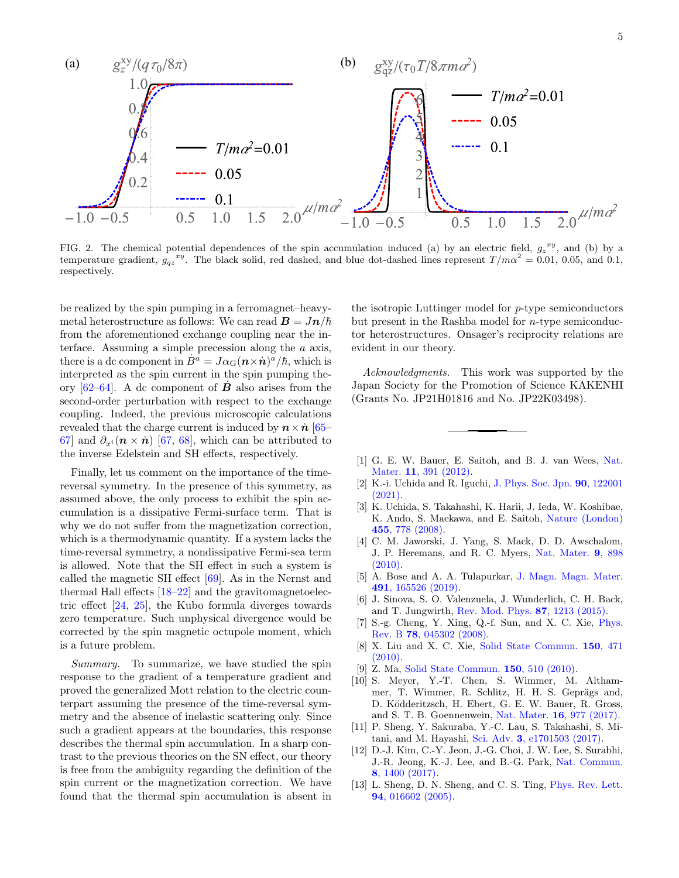

<span id="page-4-12"></span>FIG. 2. The chemical potential dependences of the spin accumulation induced (a) by an electric field,  $g_z^{xy}$ , and (b) by a temperature gradient,  $g_{qz}^{xy}$ . The black solid, red dashed, and blue dot-dashed lines represent  $T/m\alpha^2 = 0.01, 0.05,$  and 0.1, respectively.

be realized by the spin pumping in a ferromagnet–heavymetal heterostructure as follows: We can read  $\mathbf{B} = J\mathbf{n}/\hbar$ from the aforementioned exchange coupling near the interface. Assuming a simple precession along the a axis, there is a dc component in  $\dot{B}^a = J \alpha_G (n \times \dot{n})^{\dot{a}} / \hbar$ , which is interpreted as the spin current in the spin pumping theory  $[62-64]$  $[62-64]$ . A dc component of **B** also arises from the second-order perturbation with respect to the exchange coupling. Indeed, the previous microscopic calculations revealed that the charge current is induced by  $n \times n$  [\[65–](#page-5-35) [67\]](#page-5-36) and  $\partial_{x_i}$  ( $\mathbf{n} \times \dot{\mathbf{n}}$ ) [\[67,](#page-5-36) [68\]](#page-5-37), which can be attributed to the inverse Edelstein and SH effects, respectively.

Finally, let us comment on the importance of the timereversal symmetry. In the presence of this symmetry, as assumed above, the only process to exhibit the spin accumulation is a dissipative Fermi-surface term. That is why we do not suffer from the magnetization correction, which is a thermodynamic quantity. If a system lacks the time-reversal symmetry, a nondissipative Fermi-sea term is allowed. Note that the SH effect in such a system is called the magnetic SH effect [\[69\]](#page-5-38). As in the Nernst and thermal Hall effects [\[18–](#page-5-4)[22\]](#page-5-5) and the gravitomagnetoelectric effect [\[24,](#page-5-7) [25\]](#page-5-8), the Kubo formula diverges towards zero temperature. Such unphysical divergence would be corrected by the spin magnetic octupole moment, which is a future problem.

Summary. To summarize, we have studied the spin response to the gradient of a temperature gradient and proved the generalized Mott relation to the electric counterpart assuming the presence of the time-reversal symmetry and the absence of inelastic scattering only. Since such a gradient appears at the boundaries, this response describes the thermal spin accumulation. In a sharp contrast to the previous theories on the SN effect, our theory is free from the ambiguity regarding the definition of the spin current or the magnetization correction. We have found that the thermal spin accumulation is absent in

the isotropic Luttinger model for  $p$ -type semiconductors but present in the Rashba model for n-type semiconductor heterostructures. Onsager's reciprocity relations are evident in our theory.

Acknowledgments. This work was supported by the Japan Society for the Promotion of Science KAKENHI (Grants No. JP21H01816 and No. JP22K03498).

- <span id="page-4-0"></span>[1] G. E. W. Bauer, E. Saitoh, and B. J. van Wees, [Nat.](https://doi.org/10.1038/nmat3301) Mater. 11[, 391 \(2012\).](https://doi.org/10.1038/nmat3301)
- <span id="page-4-1"></span>[2] K.-i. Uchida and R. Iguchi, [J. Phys. Soc. Jpn.](https://doi.org/10.7566/JPSJ.90.122001) 90, 122001 [\(2021\).](https://doi.org/10.7566/JPSJ.90.122001)
- <span id="page-4-2"></span>[3] K. Uchida, S. Takahashi, K. Harii, J. Ieda, W. Koshibae, K. Ando, S. Maekawa, and E. Saitoh, [Nature \(London\)](https://doi.org/10.1038/nature07321) 455[, 778 \(2008\).](https://doi.org/10.1038/nature07321)
- <span id="page-4-3"></span>[4] C. M. Jaworski, J. Yang, S. Mack, D. D. Awschalom, J. P. Heremans, and R. C. Myers, [Nat. Mater.](https://doi.org/10.1038/nmat2860) 9, 898 [\(2010\).](https://doi.org/10.1038/nmat2860)
- <span id="page-4-4"></span>[5] A. Bose and A. A. Tulapurkar, [J. Magn. Magn. Mater.](https://doi.org/10.1016/j.jmmm.2019.165526) 491[, 165526 \(2019\).](https://doi.org/10.1016/j.jmmm.2019.165526)
- <span id="page-4-5"></span>[6] J. Sinova, S. O. Valenzuela, J. Wunderlich, C. H. Back, and T. Jungwirth, [Rev. Mod. Phys.](https://doi.org/10.1103/RevModPhys.87.1213) 87, 1213 (2015).
- <span id="page-4-6"></span>[7] S.-g. Cheng, Y. Xing, Q.-f. Sun, and X. C. Xie, [Phys.](https://doi.org/10.1103/PhysRevB.78.045302) Rev. B 78[, 045302 \(2008\).](https://doi.org/10.1103/PhysRevB.78.045302)
- <span id="page-4-11"></span>[8] X. Liu and X. C. Xie, [Solid State Commun.](https://doi.org/10.1016/j.ssc.2009.12.017) 150, 471 [\(2010\).](https://doi.org/10.1016/j.ssc.2009.12.017)
- <span id="page-4-7"></span>[9] Z. Ma, [Solid State Commun.](https://doi.org/10.1016/j.ssc.2009.11.004) 150, 510 (2010).
- <span id="page-4-8"></span>[10] S. Meyer, Y.-T. Chen, S. Wimmer, M. Althammer, T. Wimmer, R. Schlitz, H. H. S. Geprägs and, D. K¨odderitzsch, H. Ebert, G. E. W. Bauer, R. Gross, and S. T. B. Goennenwein, Nat. Mater. 16[, 977 \(2017\).](https://doi.org/10.1038/nmat4964)
- [11] P. Sheng, Y. Sakuraba, Y.-C. Lau, S. Takahashi, S. Mitani, and M. Hayashi, Sci. Adv. 3[, e1701503 \(2017\).](https://doi.org/10.1126/sciadv.1701503)
- <span id="page-4-9"></span>[12] D.-J. Kim, C.-Y. Jeon, J.-G. Choi, J. W. Lee, S. Surabhi, J.-R. Jeong, K.-J. Lee, and B.-G. Park, [Nat. Commun.](https://doi.org/10.1038/s41467-017-01493-5) 8[, 1400 \(2017\).](https://doi.org/10.1038/s41467-017-01493-5)
- <span id="page-4-10"></span>[13] L. Sheng, D. N. Sheng, and C. S. Ting, *[Phys. Rev. Lett.](https://doi.org/10.1103/PhysRevLett.94.016602)* 94[, 016602 \(2005\).](https://doi.org/10.1103/PhysRevLett.94.016602)